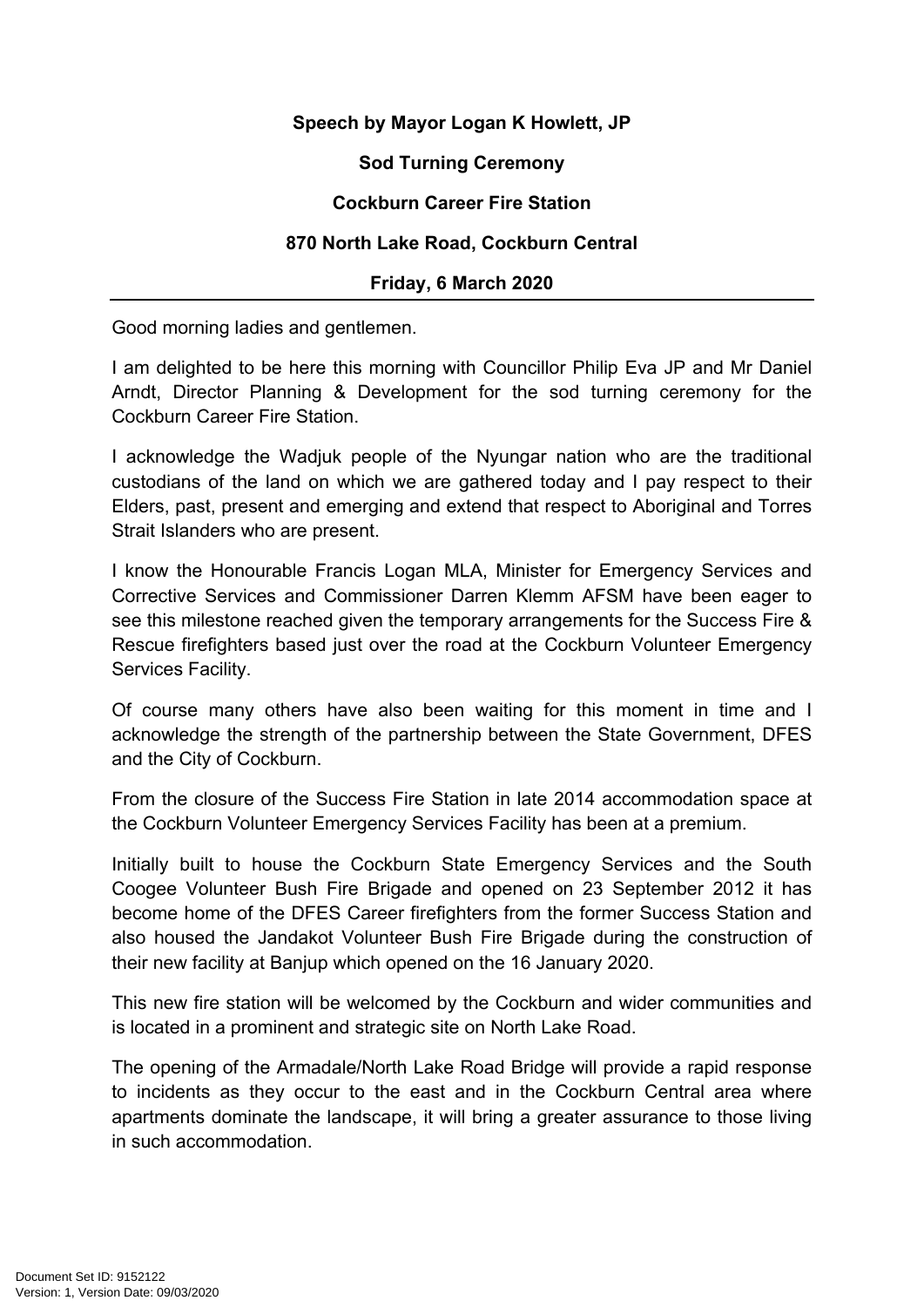# **Speech by Mayor Logan K Howlett, JP**

## **Sod Turning Ceremony**

## **Cockburn Career Fire Station**

#### **870 North Lake Road, Cockburn Central**

## **Friday, 6 March 2020**

Good morning ladies and gentlemen.

I am delighted to be here this morning with Councillor Philip Eva JP and Mr Daniel Arndt, Director Planning & Development for the sod turning ceremony for the Cockburn Career Fire Station.

I acknowledge the Wadjuk people of the Nyungar nation who are the traditional custodians of the land on which we are gathered today and I pay respect to their Elders, past, present and emerging and extend that respect to Aboriginal and Torres Strait Islanders who are present.

I know the Honourable Francis Logan MLA, Minister for Emergency Services and Corrective Services and Commissioner Darren Klemm AFSM have been eager to see this milestone reached given the temporary arrangements for the Success Fire & Rescue firefighters based just over the road at the Cockburn Volunteer Emergency Services Facility.

Of course many others have also been waiting for this moment in time and I acknowledge the strength of the partnership between the State Government, DFES and the City of Cockburn.

From the closure of the Success Fire Station in late 2014 accommodation space at the Cockburn Volunteer Emergency Services Facility has been at a premium.

Initially built to house the Cockburn State Emergency Services and the South Coogee Volunteer Bush Fire Brigade and opened on 23 September 2012 it has become home of the DFES Career firefighters from the former Success Station and also housed the Jandakot Volunteer Bush Fire Brigade during the construction of their new facility at Banjup which opened on the 16 January 2020.

This new fire station will be welcomed by the Cockburn and wider communities and is located in a prominent and strategic site on North Lake Road.

The opening of the Armadale/North Lake Road Bridge will provide a rapid response to incidents as they occur to the east and in the Cockburn Central area where apartments dominate the landscape, it will bring a greater assurance to those living in such accommodation.